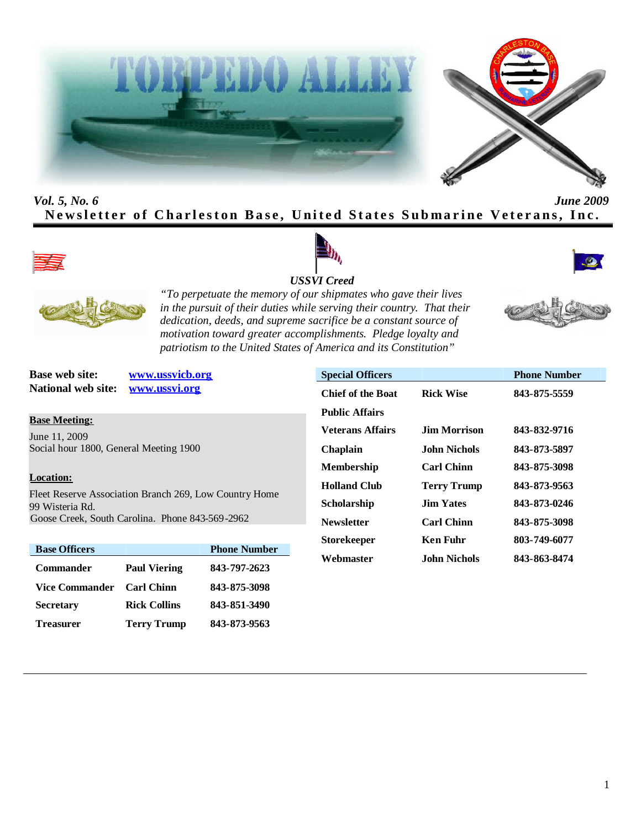



# *Vol. 5, No. 6 June 2009* **Newsletter of Charleston Base, United States Submarine Veterans, Inc.**









*"To perpetuate the memory of our shipmates who gave their lives in the pursuit of their duties while serving their country. That their dedication, deeds, and supreme sacrifice be a constant source of motivation toward greater accomplishments. Pledge loyalty and patriotism to the United States of America and its Constitution"*

**National web site: www.ussvi.org**

**Base web site: www.ussvicb.org**

# **Base Meeting:**

June 11, 2009 Social hour 1800, General Meeting 1900

### **Location:**

Fleet Reserve Association Branch 269, Low Country Home 99 Wisteria Rd. Goose Creek, South Carolina. Phone 843-569-2962

| <b>Base Officers</b> |                     | <b>Phone Number</b> |
|----------------------|---------------------|---------------------|
| <b>Commander</b>     | <b>Paul Viering</b> | 843-797-2623        |
| Vice Commander       | <b>Carl Chinn</b>   | 843-875-3098        |
| <b>Secretary</b>     | <b>Rick Collins</b> | 843-851-3490        |
| <b>Treasurer</b>     | <b>Terry Trump</b>  | 843-873-9563        |

| <b>Special Officers</b>  |                    | <b>Phone Number</b> |
|--------------------------|--------------------|---------------------|
| <b>Chief of the Boat</b> | <b>Rick Wise</b>   | 843-875-5559        |
| <b>Public Affairs</b>    |                    |                     |
| <b>Veterans Affairs</b>  | Jim Morrison       | 843-832-9716        |
| <b>Chaplain</b>          | John Nichols       | 843-873-5897        |
| <b>Membership</b>        | <b>Carl Chinn</b>  | 843-875-3098        |
| <b>Holland Club</b>      | <b>Terry Trump</b> | 843-873-9563        |
| <b>Scholarship</b>       | <b>Jim Yates</b>   | 843-873-0246        |
| <b>Newsletter</b>        | <b>Carl Chinn</b>  | 843-875-3098        |
| <b>Storekeeper</b>       | Ken Fuhr           | 803-749-6077        |
| Webmaster                | John Nichols.      | 843-863-8474        |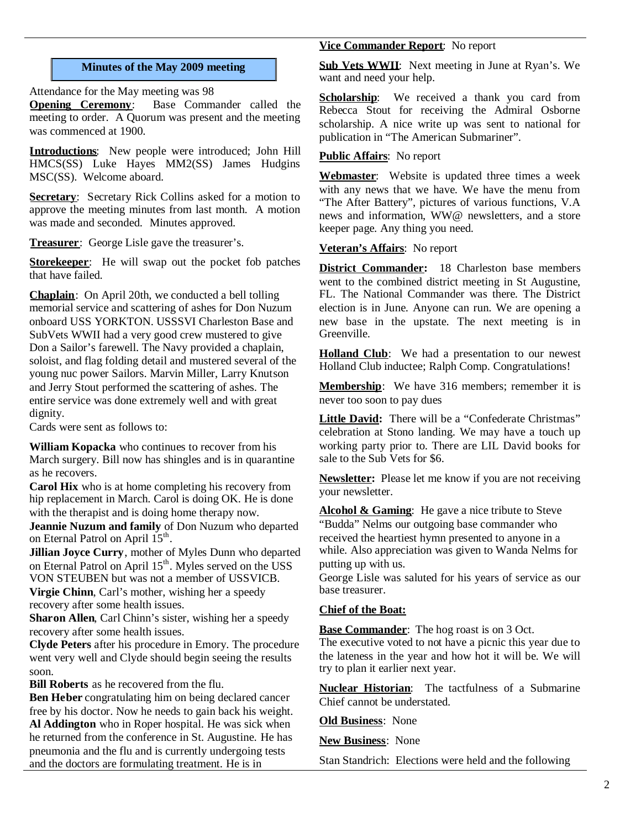#### **Minutes of the May 2009 meeting**

Attendance for the May meeting was 98

**Opening Ceremony**: Base Commander called the meeting to order. A Quorum was present and the meeting was commenced at 1900.

**Introductions**: New people were introduced; John Hill HMCS(SS) Luke Hayes MM2(SS) James Hudgins MSC(SS). Welcome aboard.

**Secretary:** Secretary Rick Collins asked for a motion to approve the meeting minutes from last month. A motion was made and seconded. Minutes approved.

**Treasurer**: George Lisle gave the treasurer's.

**Storekeeper**: He will swap out the pocket fob patches that have failed.

**Chaplain**: On April 20th, we conducted a bell tolling memorial service and scattering of ashes for Don Nuzum onboard USS YORKTON. USSSVI Charleston Base and SubVets WWII had a very good crew mustered to give Don a Sailor's farewell. The Navy provided a chaplain, soloist, and flag folding detail and mustered several of the young nuc power Sailors. Marvin Miller, Larry Knutson and Jerry Stout performed the scattering of ashes. The entire service was done extremely well and with great dignity.

Cards were sent as follows to:

**William Kopacka** who continues to recover from his March surgery. Bill now has shingles and is in quarantine as he recovers.

**Carol Hix** who is at home completing his recovery from hip replacement in March. Carol is doing OK. He is done with the therapist and is doing home therapy now.

**Jeannie Nuzum and family** of Don Nuzum who departed on Eternal Patrol on April 15<sup>th</sup>.

**Jillian Joyce Curry**, mother of Myles Dunn who departed on Eternal Patrol on April 15<sup>th</sup>. Myles served on the USS VON STEUBEN but was not a member of USSVICB.

**Virgie Chinn**, Carl's mother, wishing her a speedy recovery after some health issues.

**Sharon Allen**, Carl Chinn's sister, wishing her a speedy recovery after some health issues.

**Clyde Peters** after his procedure in Emory. The procedure went very well and Clyde should begin seeing the results soon.

**Bill Roberts** as he recovered from the flu.

**Ben Heber** congratulating him on being declared cancer free by his doctor. Now he needs to gain back his weight. **Al Addington** who in Roper hospital. He was sick when he returned from the conference in St. Augustine. He has pneumonia and the flu and is currently undergoing tests and the doctors are formulating treatment. He is in

# **Vice Commander Report**: No report

**Sub Vets WWII**: Next meeting in June at Ryan's. We want and need your help.

**Scholarship**: We received a thank you card from Rebecca Stout for receiving the Admiral Osborne scholarship. A nice write up was sent to national for publication in "The American Submariner".

# **Public Affairs**: No report

**Webmaster**: Website is updated three times a week with any news that we have. We have the menu from "The After Battery", pictures of various functions, V.A news and information, WW@ newsletters, and a store keeper page. Any thing you need.

# **Veteran's Affairs**: No report

**District Commander:** 18 Charleston base members went to the combined district meeting in St Augustine, FL. The National Commander was there. The District election is in June. Anyone can run. We are opening a new base in the upstate. The next meeting is in Greenville.

**Holland Club**: We had a presentation to our newest Holland Club inductee; Ralph Comp. Congratulations!

**Membership**: We have 316 members; remember it is never too soon to pay dues

**Little David:** There will be a "Confederate Christmas" celebration at Stono landing. We may have a touch up working party prior to. There are LIL David books for sale to the Sub Vets for \$6.

**Newsletter:** Please let me know if you are not receiving your newsletter.

Alcohol & Gaming: He gave a nice tribute to Steve "Budda" Nelms our outgoing base commander who received the heartiest hymn presented to anyone in a while. Also appreciation was given to Wanda Nelms for putting up with us.

George Lisle was saluted for his years of service as our base treasurer.

#### **Chief of the Boat:**

**Base Commander**: The hog roast is on 3 Oct.

The executive voted to not have a picnic this year due to the lateness in the year and how hot it will be. We will try to plan it earlier next year.

**Nuclear Historian**: The tactfulness of a Submarine Chief cannot be understated.

**Old Business**: None

**New Business**: None

Stan Standrich: Elections were held and the following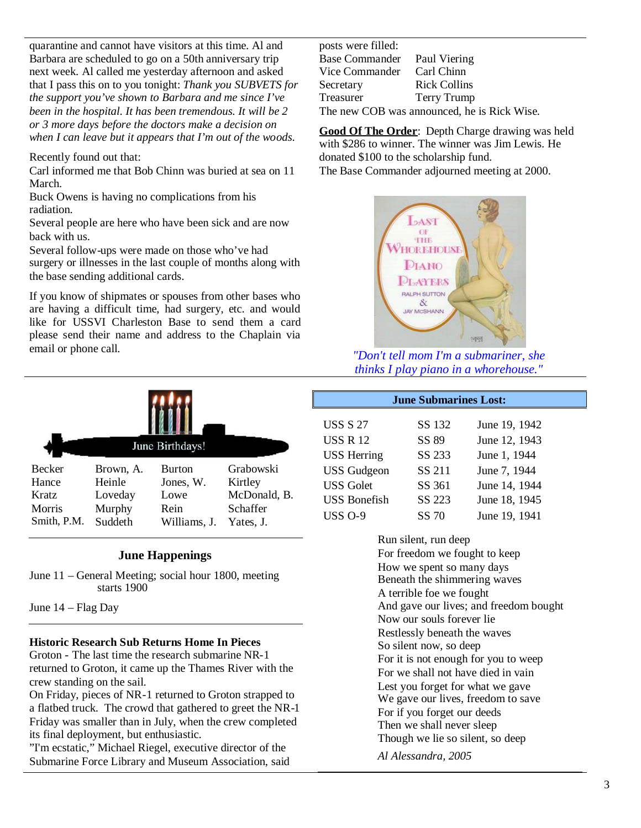quarantine and cannot have visitors at this time. Al and Barbara are scheduled to go on a 50th anniversary trip next week. Al called me yesterday afternoon and asked that I pass this on to you tonight: *Thank you SUBVETS for the support you've shown to Barbara and me since I've been in the hospital. It has been tremendous. It will be 2 or 3 more days before the doctors make a decision on when I can leave but it appears that I'm out of the woods.*

Recently found out that:

Carl informed me that Bob Chinn was buried at sea on 11 March.

Buck Owens is having no complications from his radiation.

Several people are here who have been sick and are now back with us.

Several follow-ups were made on those who've had surgery or illnesses in the last couple of months along with the base sending additional cards.

If you know of shipmates or spouses from other bases who are having a difficult time, had surgery, etc. and would like for USSVI Charleston Base to send them a card please send their name and address to the Chaplain via email or phone call.

| June Birthdays! |           |               |              |  |  |  |
|-----------------|-----------|---------------|--------------|--|--|--|
| <b>Becker</b>   | Brown, A. | <b>Burton</b> | Grabowski    |  |  |  |
| Hance           | Heinle    | Jones, W.     | Kirtley      |  |  |  |
| <b>Kratz</b>    | Loveday   | Lowe          | McDonald, B. |  |  |  |
| Morris          | Murphy    | Rein          | Schaffer     |  |  |  |
| Smith, P.M.     | Suddeth   | Williams, J.  | Yates. J.    |  |  |  |

#### **June Happenings**

June 11 – General Meeting; social hour 1800, meeting starts 1900

June 14 – Flag Day

#### **Historic Research Sub Returns Home In Pieces**

Groton - The last time the research submarine NR-1 returned to Groton, it came up the Thames River with the crew standing on the sail.

On Friday, pieces of NR-1 returned to Groton strapped to a flatbed truck. The crowd that gathered to greet the NR-1 Friday was smaller than in July, when the crew completed its final deployment, but enthusiastic.

"I'm ecstatic," Michael Riegel, executive director of the Submarine Force Library and Museum Association, said posts were filled: Base Commander Paul Viering Vice Commander Carl Chinn Secretary Rick Collins<br>Treasurer Terry Trump Terry Trump The new COB was announced, he is Rick Wise.

**Good Of The Order**: Depth Charge drawing was held with \$286 to winner. The winner was Jim Lewis. He donated \$100 to the scholarship fund. The Base Commander adjourned meeting at 2000.



*"Don't tell mom I'm a submariner, she thinks I play piano in a whorehouse."*

**June Submarines Lost:**

| <b>USS S 27</b>     | SS 132 | June 19, 1942 |
|---------------------|--------|---------------|
| <b>USS R 12</b>     | SS 89  | June 12, 1943 |
| <b>USS Herring</b>  | SS 233 | June 1, 1944  |
| <b>USS</b> Gudgeon  | SS 211 | June 7, 1944  |
| <b>USS Golet</b>    | SS 361 | June 14, 1944 |
| <b>USS Bonefish</b> | SS 223 | June 18, 1945 |
| <b>USS O-9</b>      | SS 70  | June 19, 1941 |

Run silent, run deep For freedom we fought to keep How we spent so many days Beneath the shimmering waves A terrible foe we fought And gave our lives; and freedom bought Now our souls forever lie Restlessly beneath the waves So silent now, so deep For it is not enough for you to weep For we shall not have died in vain Lest you forget for what we gave We gave our lives, freedom to save For if you forget our deeds Then we shall never sleep Though we lie so silent, so deep *Al Alessandra, 2005*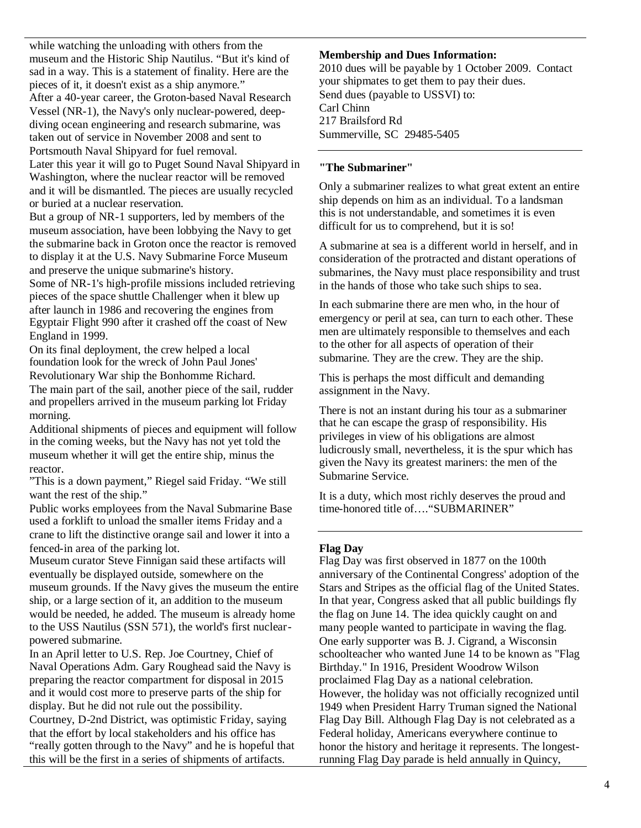while watching the unloading with others from the museum and the Historic Ship Nautilus. "But it's kind of sad in a way. This is a statement of finality. Here are the pieces of it, it doesn't exist as a ship anymore." After a 40-year career, the Groton-based Naval Research Vessel (NR-1), the Navy's only nuclear-powered, deepdiving ocean engineering and research submarine, was taken out of service in November 2008 and sent to Portsmouth Naval Shipyard for fuel removal.

Later this year it will go to Puget Sound Naval Shipyard in Washington, where the nuclear reactor will be removed and it will be dismantled. The pieces are usually recycled or buried at a nuclear reservation.

But a group of NR-1 supporters, led by members of the museum association, have been lobbying the Navy to get the submarine back in Groton once the reactor is removed to display it at the U.S. Navy Submarine Force Museum and preserve the unique submarine's history.

Some of NR-1's high-profile missions included retrieving pieces of the space shuttle Challenger when it blew up after launch in 1986 and recovering the engines from Egyptair Flight 990 after it crashed off the coast of New England in 1999.

On its final deployment, the crew helped a local foundation look for the wreck of John Paul Jones' Revolutionary War ship the Bonhomme Richard. The main part of the sail, another piece of the sail, rudder and propellers arrived in the museum parking lot Friday morning.

Additional shipments of pieces and equipment will follow in the coming weeks, but the Navy has not yet told the museum whether it will get the entire ship, minus the reactor.

"This is a down payment," Riegel said Friday. "We still want the rest of the ship."

Public works employees from the Naval Submarine Base used a forklift to unload the smaller items Friday and a crane to lift the distinctive orange sail and lower it into a fenced-in area of the parking lot.

Museum curator Steve Finnigan said these artifacts will eventually be displayed outside, somewhere on the museum grounds. If the Navy gives the museum the entire ship, or a large section of it, an addition to the museum would be needed, he added. The museum is already home to the USS Nautilus (SSN 571), the world's first nuclearpowered submarine.

In an April letter to U.S. Rep. Joe Courtney, Chief of Naval Operations Adm. Gary Roughead said the Navy is preparing the reactor compartment for disposal in 2015 and it would cost more to preserve parts of the ship for display. But he did not rule out the possibility. Courtney, D-2nd District, was optimistic Friday, saying that the effort by local stakeholders and his office has "really gotten through to the Navy" and he is hopeful that this will be the first in a series of shipments of artifacts.

#### **Membership and Dues Information:**

2010 dues will be payable by 1 October 2009. Contact your shipmates to get them to pay their dues. Send dues (payable to USSVI) to: Carl Chinn 217 Brailsford Rd Summerville, SC 29485-5405

#### **"The Submariner"**

Only a submariner realizes to what great extent an entire ship depends on him as an individual. To a landsman this is not understandable, and sometimes it is even difficult for us to comprehend, but it is so!

A submarine at sea is a different world in herself, and in consideration of the protracted and distant operations of submarines, the Navy must place responsibility and trust in the hands of those who take such ships to sea.

In each submarine there are men who, in the hour of emergency or peril at sea, can turn to each other. These men are ultimately responsible to themselves and each to the other for all aspects of operation of their submarine. They are the crew. They are the ship.

This is perhaps the most difficult and demanding assignment in the Navy.

There is not an instant during his tour as a submariner that he can escape the grasp of responsibility. His privileges in view of his obligations are almost ludicrously small, nevertheless, it is the spur which has given the Navy its greatest mariners: the men of the Submarine Service.

It is a duty, which most richly deserves the proud and time-honored title of…."SUBMARINER"

#### **Flag Day**

Flag Day was first observed in 1877 on the 100th anniversary of the Continental Congress' adoption of the Stars and Stripes as the official flag of the United States. In that year, Congress asked that all public buildings fly the flag on June 14. The idea quickly caught on and many people wanted to participate in waving the flag. One early supporter was B. J. Cigrand, a Wisconsin schoolteacher who wanted June 14 to be known as "Flag Birthday." In 1916, President Woodrow Wilson proclaimed Flag Day as a national celebration. However, the holiday was not officially recognized until 1949 when President Harry Truman signed the National Flag Day Bill. Although Flag Day is not celebrated as a Federal holiday, Americans everywhere continue to honor the history and heritage it represents. The longestrunning Flag Day parade is held annually in Quincy,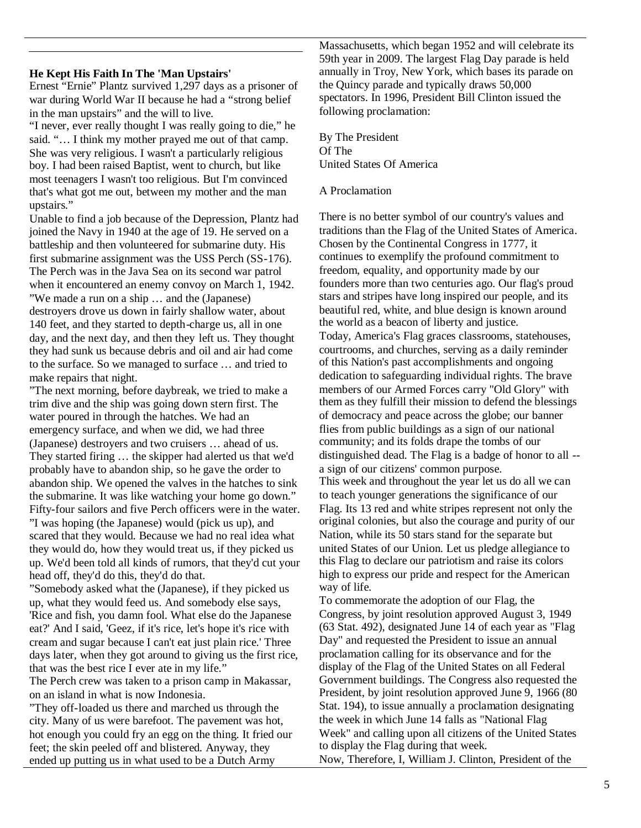#### **He Kept His Faith In The 'Man Upstairs'**

Ernest "Ernie" Plantz survived 1,297 days as a prisoner of war during World War II because he had a "strong belief in the man upstairs" and the will to live.

"I never, ever really thought I was really going to die," he said. "... I think my mother prayed me out of that camp. She was very religious. I wasn't a particularly religious boy. I had been raised Baptist, went to church, but like most teenagers I wasn't too religious. But I'm convinced that's what got me out, between my mother and the man upstairs."

Unable to find a job because of the Depression, Plantz had joined the Navy in 1940 at the age of 19. He served on a battleship and then volunteered for submarine duty. His first submarine assignment was the USS Perch (SS-176). The Perch was in the Java Sea on its second war patrol when it encountered an enemy convoy on March 1, 1942. "We made a run on a ship … and the (Japanese) destroyers drove us down in fairly shallow water, about 140 feet, and they started to depth-charge us, all in one day, and the next day, and then they left us. They thought they had sunk us because debris and oil and air had come to the surface. So we managed to surface … and tried to make repairs that night.

"The next morning, before daybreak, we tried to make a trim dive and the ship was going down stern first. The water poured in through the hatches. We had an emergency surface, and when we did, we had three (Japanese) destroyers and two cruisers … ahead of us. They started firing … the skipper had alerted us that we'd probably have to abandon ship, so he gave the order to abandon ship. We opened the valves in the hatches to sink the submarine. It was like watching your home go down." Fifty-four sailors and five Perch officers were in the water. "I was hoping (the Japanese) would (pick us up), and scared that they would. Because we had no real idea what they would do, how they would treat us, if they picked us up. We'd been told all kinds of rumors, that they'd cut your head off, they'd do this, they'd do that.

"Somebody asked what the (Japanese), if they picked us up, what they would feed us. And somebody else says, 'Rice and fish, you damn fool. What else do the Japanese eat?' And I said, 'Geez, if it's rice, let's hope it's rice with cream and sugar because I can't eat just plain rice.' Three days later, when they got around to giving us the first rice, that was the best rice I ever ate in my life."

The Perch crew was taken to a prison camp in Makassar, on an island in what is now Indonesia.

"They off-loaded us there and marched us through the city. Many of us were barefoot. The pavement was hot, hot enough you could fry an egg on the thing. It fried our feet; the skin peeled off and blistered. Anyway, they ended up putting us in what used to be a Dutch Army

Massachusetts, which began 1952 and will celebrate its 59th year in 2009. The largest Flag Day parade is held annually in Troy, New York, which bases its parade on the Quincy parade and typically draws 50,000 spectators. In 1996, President Bill Clinton issued the following proclamation:

By The President Of The United States Of America

A Proclamation

There is no better symbol of our country's values and traditions than the Flag of the United States of America. Chosen by the Continental Congress in 1777, it continues to exemplify the profound commitment to freedom, equality, and opportunity made by our founders more than two centuries ago. Our flag's proud stars and stripes have long inspired our people, and its beautiful red, white, and blue design is known around the world as a beacon of liberty and justice. Today, America's Flag graces classrooms, statehouses, courtrooms, and churches, serving as a daily reminder of this Nation's past accomplishments and ongoing dedication to safeguarding individual rights. The brave members of our Armed Forces carry "Old Glory" with them as they fulfill their mission to defend the blessings of democracy and peace across the globe; our banner flies from public buildings as a sign of our national community; and its folds drape the tombs of our distinguished dead. The Flag is a badge of honor to all - a sign of our citizens' common purpose. This week and throughout the year let us do all we can

to teach younger generations the significance of our Flag. Its 13 red and white stripes represent not only the original colonies, but also the courage and purity of our Nation, while its 50 stars stand for the separate but united States of our Union. Let us pledge allegiance to this Flag to declare our patriotism and raise its colors high to express our pride and respect for the American way of life.

To commemorate the adoption of our Flag, the Congress, by joint resolution approved August 3, 1949 (63 Stat. 492), designated June 14 of each year as "Flag Day" and requested the President to issue an annual proclamation calling for its observance and for the display of the Flag of the United States on all Federal Government buildings. The Congress also requested the President, by joint resolution approved June 9, 1966 (80) Stat. 194), to issue annually a proclamation designating the week in which June 14 falls as "National Flag Week" and calling upon all citizens of the United States to display the Flag during that week. Now, Therefore, I, William J. Clinton, President of the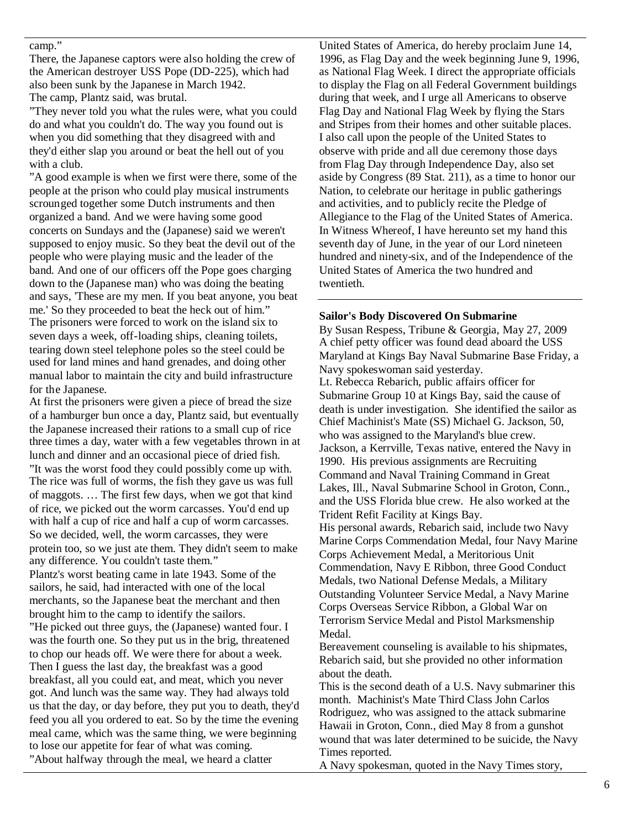#### camp."

There, the Japanese captors were also holding the crew of the American destroyer USS Pope (DD-225), which had also been sunk by the Japanese in March 1942. The camp, Plantz said, was brutal.

"They never told you what the rules were, what you could do and what you couldn't do. The way you found out is when you did something that they disagreed with and they'd either slap you around or beat the hell out of you with a club.

"A good example is when we first were there, some of the people at the prison who could play musical instruments scrounged together some Dutch instruments and then organized a band. And we were having some good concerts on Sundays and the (Japanese) said we weren't supposed to enjoy music. So they beat the devil out of the people who were playing music and the leader of the band. And one of our officers off the Pope goes charging down to the (Japanese man) who was doing the beating and says, 'These are my men. If you beat anyone, you beat me.' So they proceeded to beat the heck out of him." The prisoners were forced to work on the island six to seven days a week, off-loading ships, cleaning toilets, tearing down steel telephone poles so the steel could be used for land mines and hand grenades, and doing other manual labor to maintain the city and build infrastructure for the Japanese.

At first the prisoners were given a piece of bread the size

of a hamburger bun once a day, Plantz said, but eventually the Japanese increased their rations to a small cup of rice three times a day, water with a few vegetables thrown in at lunch and dinner and an occasional piece of dried fish. "It was the worst food they could possibly come up with. The rice was full of worms, the fish they gave us was full of maggots. … The first few days, when we got that kind of rice, we picked out the worm carcasses. You'd end up with half a cup of rice and half a cup of worm carcasses. So we decided, well, the worm carcasses, they were protein too, so we just ate them. They didn't seem to make any difference. You couldn't taste them." Plantz's worst beating came in late 1943. Some of the sailors, he said, had interacted with one of the local merchants, so the Japanese beat the merchant and then brought him to the camp to identify the sailors. "He picked out three guys, the (Japanese) wanted four. I was the fourth one. So they put us in the brig, threatened to chop our heads off. We were there for about a week. Then I guess the last day, the breakfast was a good breakfast, all you could eat, and meat, which you never got. And lunch was the same way. They had always told us that the day, or day before, they put you to death, they'd feed you all you ordered to eat. So by the time the evening meal came, which was the same thing, we were beginning to lose our appetite for fear of what was coming. "About halfway through the meal, we heard a clatter

United States of America, do hereby proclaim June 14, 1996, as Flag Day and the week beginning June 9, 1996, as National Flag Week. I direct the appropriate officials to display the Flag on all Federal Government buildings during that week, and I urge all Americans to observe Flag Day and National Flag Week by flying the Stars and Stripes from their homes and other suitable places. I also call upon the people of the United States to observe with pride and all due ceremony those days from Flag Day through Independence Day, also set aside by Congress (89 Stat. 211), as a time to honor our Nation, to celebrate our heritage in public gatherings and activities, and to publicly recite the Pledge of Allegiance to the Flag of the United States of America. In Witness Whereof, I have hereunto set my hand this seventh day of June, in the year of our Lord nineteen hundred and ninety-six, and of the Independence of the United States of America the two hundred and twentieth.

#### **Sailor's Body Discovered On Submarine**

By Susan Respess, Tribune & Georgia, May 27, 2009 A chief petty officer was found dead aboard the USS Maryland at Kings Bay Naval Submarine Base Friday, a Navy spokeswoman said yesterday. Lt. Rebecca Rebarich, public affairs officer for Submarine Group 10 at Kings Bay, said the cause of death is under investigation. She identified the sailor as Chief Machinist's Mate (SS) Michael G. Jackson, 50, who was assigned to the Maryland's blue crew. Jackson, a Kerrville, Texas native, entered the Navy in 1990. His previous assignments are Recruiting Command and Naval Training Command in Great Lakes, Ill., Naval Submarine School in Groton, Conn., and the USS Florida blue crew. He also worked at the Trident Refit Facility at Kings Bay. His personal awards, Rebarich said, include two Navy Marine Corps Commendation Medal, four Navy Marine Corps Achievement Medal, a Meritorious Unit Commendation, Navy E Ribbon, three Good Conduct Medals, two National Defense Medals, a Military Outstanding Volunteer Service Medal, a Navy Marine Corps Overseas Service Ribbon, a Global War on Terrorism Service Medal and Pistol Marksmenship Medal.

Bereavement counseling is available to his shipmates, Rebarich said, but she provided no other information about the death.

This is the second death of a U.S. Navy submariner this month. Machinist's Mate Third Class John Carlos Rodriguez, who was assigned to the attack submarine Hawaii in Groton, Conn., died May 8 from a gunshot wound that was later determined to be suicide, the Navy Times reported.

A Navy spokesman, quoted in the Navy Times story,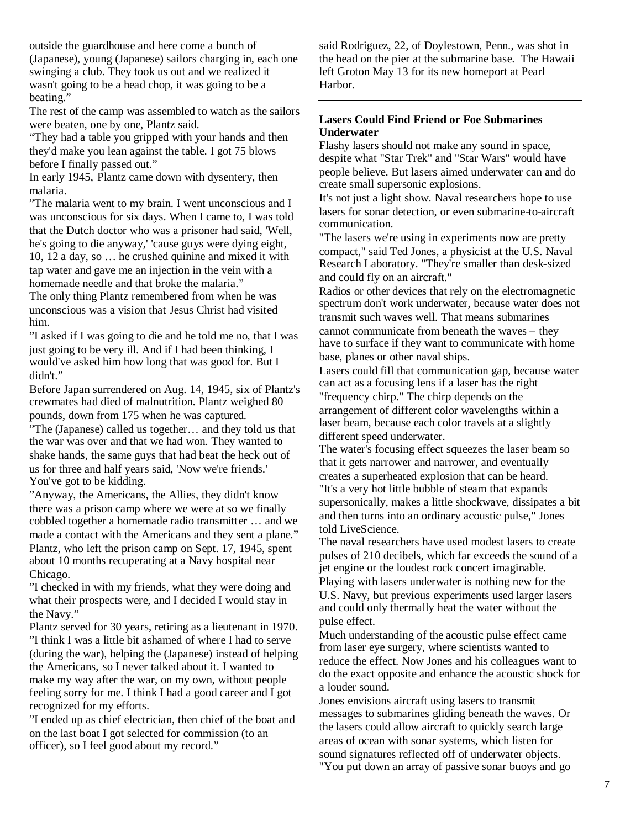outside the guardhouse and here come a bunch of (Japanese), young (Japanese) sailors charging in, each one swinging a club. They took us out and we realized it wasn't going to be a head chop, it was going to be a beating."

The rest of the camp was assembled to watch as the sailors were beaten, one by one, Plantz said.

"They had a table you gripped with your hands and then they'd make you lean against the table. I got 75 blows before I finally passed out."

In early 1945, Plantz came down with dysentery, then malaria.

"The malaria went to my brain. I went unconscious and I was unconscious for six days. When I came to, I was told that the Dutch doctor who was a prisoner had said, 'Well, he's going to die anyway,' 'cause guys were dying eight, 10, 12 a day, so … he crushed quinine and mixed it with tap water and gave me an injection in the vein with a homemade needle and that broke the malaria."

The only thing Plantz remembered from when he was unconscious was a vision that Jesus Christ had visited him.

"I asked if I was going to die and he told me no, that I was just going to be very ill. And if I had been thinking, I would've asked him how long that was good for. But I didn't."

Before Japan surrendered on Aug. 14, 1945, six of Plantz's crewmates had died of malnutrition. Plantz weighed 80 pounds, down from 175 when he was captured.

"The (Japanese) called us together… and they told us that the war was over and that we had won. They wanted to shake hands, the same guys that had beat the heck out of us for three and half years said, 'Now we're friends.' You've got to be kidding.

"Anyway, the Americans, the Allies, they didn't know there was a prison camp where we were at so we finally cobbled together a homemade radio transmitter … and we made a contact with the Americans and they sent a plane." Plantz, who left the prison camp on Sept. 17, 1945, spent about 10 months recuperating at a Navy hospital near Chicago.

"I checked in with my friends, what they were doing and what their prospects were, and I decided I would stay in the Navy."

Plantz served for 30 years, retiring as a lieutenant in 1970. "I think I was a little bit ashamed of where I had to serve (during the war), helping the (Japanese) instead of helping the Americans, so I never talked about it. I wanted to make my way after the war, on my own, without people feeling sorry for me. I think I had a good career and I got recognized for my efforts.

"I ended up as chief electrician, then chief of the boat and on the last boat I got selected for commission (to an officer), so I feel good about my record."

said Rodriguez, 22, of Doylestown, Penn., was shot in the head on the pier at the submarine base. The Hawaii left Groton May 13 for its new homeport at Pearl Harbor.

# **Lasers Could Find Friend or Foe Submarines Underwater**

Flashy lasers should not make any sound in space, despite what "Star Trek" and "Star Wars" would have people believe. But lasers aimed underwater can and do create small supersonic explosions.

It's not just a light show. Naval researchers hope to use lasers for sonar detection, or even submarine-to-aircraft communication.

"The lasers we're using in experiments now are pretty compact," said Ted Jones, a physicist at the U.S. Naval Research Laboratory. "They're smaller than desk-sized and could fly on an aircraft."

Radios or other devices that rely on the electromagnetic spectrum don't work underwater, because water does not transmit such waves well. That means submarines cannot communicate from beneath the waves – they have to surface if they want to communicate with home base, planes or other naval ships.

Lasers could fill that communication gap, because water can act as a focusing lens if a laser has the right "frequency chirp." The chirp depends on the arrangement of different color wavelengths within a laser beam, because each color travels at a slightly different speed underwater.

The water's focusing effect squeezes the laser beam so that it gets narrower and narrower, and eventually creates a superheated explosion that can be heard. "It's a very hot little bubble of steam that expands supersonically, makes a little shockwave, dissipates a bit and then turns into an ordinary acoustic pulse," Jones told LiveScience.

The naval researchers have used modest lasers to create pulses of 210 decibels, which far exceeds the sound of a jet engine or the loudest rock concert imaginable. Playing with lasers underwater is nothing new for the U.S. Navy, but previous experiments used larger lasers and could only thermally heat the water without the pulse effect.

Much understanding of the acoustic pulse effect came from laser eye surgery, where scientists wanted to reduce the effect. Now Jones and his colleagues want to do the exact opposite and enhance the acoustic shock for a louder sound.

Jones envisions aircraft using lasers to transmit messages to submarines gliding beneath the waves. Or the lasers could allow aircraft to quickly search large areas of ocean with sonar systems, which listen for sound signatures reflected off of underwater objects. "You put down an array of passive sonar buoys and go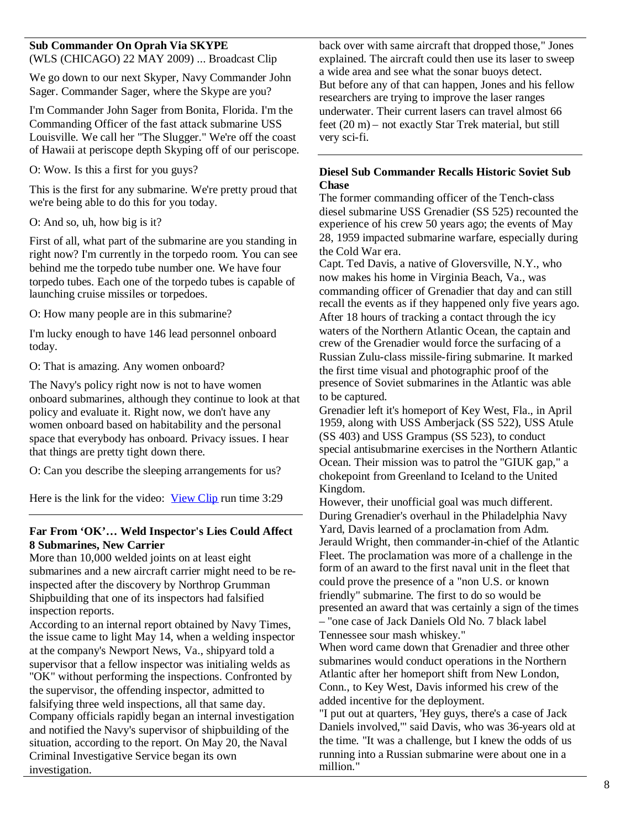# **Sub Commander On Oprah Via SKYPE**

(WLS (CHICAGO) 22 MAY 2009) ... Broadcast Clip

We go down to our next Skyper, Navy Commander John Sager. Commander Sager, where the Skype are you?

I'm Commander John Sager from Bonita, Florida. I'm the Commanding Officer of the fast attack submarine USS Louisville. We call her "The Slugger." We're off the coast of Hawaii at periscope depth Skyping off of our periscope.

O: Wow. Is this a first for you guys?

This is the first for any submarine. We're pretty proud that we're being able to do this for you today.

O: And so, uh, how big is it?

First of all, what part of the submarine are you standing in right now? I'm currently in the torpedo room. You can see behind me the torpedo tube number one. We have four torpedo tubes. Each one of the torpedo tubes is capable of launching cruise missiles or torpedoes.

O: How many people are in this submarine?

I'm lucky enough to have 146 lead personnel onboard today.

O: That is amazing. Any women onboard?

The Navy's policy right now is not to have women onboard submarines, although they continue to look at that policy and evaluate it. Right now, we don't have any women onboard based on habitability and the personal space that everybody has onboard. Privacy issues. I hear that things are pretty tight down there.

O: Can you describe the sleeping arrangements for us?

Here is the link for the video: View Clip run time 3:29

# **Far From 'OK'… Weld Inspector's Lies Could Affect 8 Submarines, New Carrier**

More than 10,000 welded joints on at least eight submarines and a new aircraft carrier might need to be reinspected after the discovery by Northrop Grumman Shipbuilding that one of its inspectors had falsified inspection reports.

According to an internal report obtained by Navy Times, the issue came to light May 14, when a welding inspector at the company's Newport News, Va., shipyard told a supervisor that a fellow inspector was initialing welds as "OK" without performing the inspections. Confronted by the supervisor, the offending inspector, admitted to falsifying three weld inspections, all that same day. Company officials rapidly began an internal investigation and notified the Navy's supervisor of shipbuilding of the situation, according to the report. On May 20, the Naval Criminal Investigative Service began its own investigation.

back over with same aircraft that dropped those," Jones explained. The aircraft could then use its laser to sweep a wide area and see what the sonar buoys detect. But before any of that can happen, Jones and his fellow researchers are trying to improve the laser ranges underwater. Their current lasers can travel almost 66 feet (20 m) – not exactly Star Trek material, but still very sci-fi.

# **Diesel Sub Commander Recalls Historic Soviet Sub Chase**

The former commanding officer of the Tench-class diesel submarine USS Grenadier (SS 525) recounted the experience of his crew 50 years ago; the events of May 28, 1959 impacted submarine warfare, especially during the Cold War era.

Capt. Ted Davis, a native of Gloversville, N.Y., who now makes his home in Virginia Beach, Va., was commanding officer of Grenadier that day and can still recall the events as if they happened only five years ago. After 18 hours of tracking a contact through the icy waters of the Northern Atlantic Ocean, the captain and crew of the Grenadier would force the surfacing of a Russian Zulu-class missile-firing submarine. It marked the first time visual and photographic proof of the presence of Soviet submarines in the Atlantic was able to be captured.

Grenadier left it's homeport of Key West, Fla., in April 1959, along with USS Amberjack (SS 522), USS Atule (SS 403) and USS Grampus (SS 523), to conduct special antisubmarine exercises in the Northern Atlantic Ocean. Their mission was to patrol the "GIUK gap," a chokepoint from Greenland to Iceland to the United Kingdom.

However, their unofficial goal was much different. During Grenadier's overhaul in the Philadelphia Navy Yard, Davis learned of a proclamation from Adm. Jerauld Wright, then commander-in-chief of the Atlantic Fleet. The proclamation was more of a challenge in the form of an award to the first naval unit in the fleet that could prove the presence of a "non U.S. or known friendly" submarine. The first to do so would be presented an award that was certainly a sign of the times – "one case of Jack Daniels Old No. 7 black label

Tennessee sour mash whiskey."

When word came down that Grenadier and three other submarines would conduct operations in the Northern Atlantic after her homeport shift from New London, Conn., to Key West, Davis informed his crew of the added incentive for the deployment.

"I put out at quarters, 'Hey guys, there's a case of Jack Daniels involved,'" said Davis, who was 36-years old at the time. "It was a challenge, but I knew the odds of us running into a Russian submarine were about one in a million."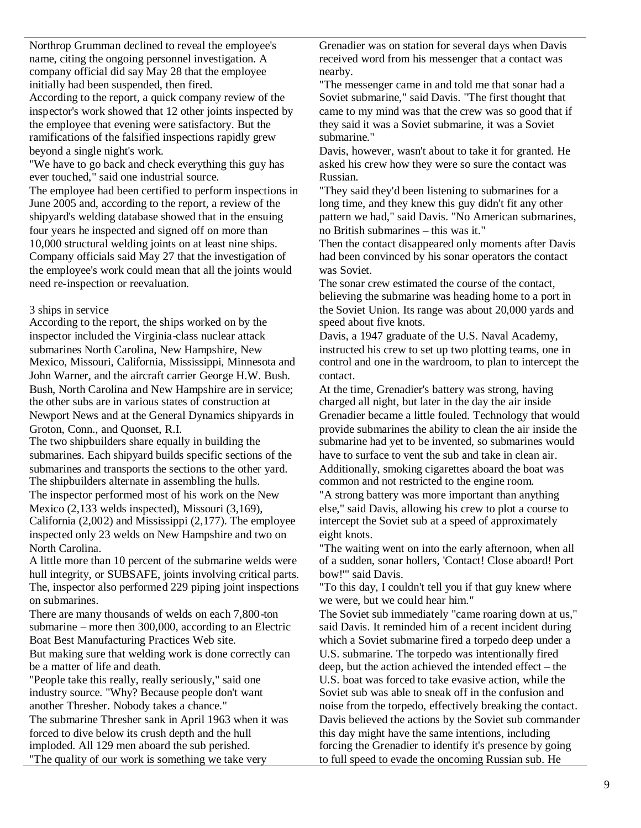Northrop Grumman declined to reveal the employee's name, citing the ongoing personnel investigation. A company official did say May 28 that the employee initially had been suspended, then fired. According to the report, a quick company review of the inspector's work showed that 12 other joints inspected by the employee that evening were satisfactory. But the ramifications of the falsified inspections rapidly grew beyond a single night's work.

"We have to go back and check everything this guy has ever touched," said one industrial source.

The employee had been certified to perform inspections in June 2005 and, according to the report, a review of the shipyard's welding database showed that in the ensuing four years he inspected and signed off on more than 10,000 structural welding joints on at least nine ships. Company officials said May 27 that the investigation of the employee's work could mean that all the joints would need re-inspection or reevaluation.

#### 3 ships in service

According to the report, the ships worked on by the inspector included the Virginia-class nuclear attack submarines North Carolina, New Hampshire, New Mexico, Missouri, California, Mississippi, Minnesota and John Warner, and the aircraft carrier George H.W. Bush. Bush, North Carolina and New Hampshire are in service; the other subs are in various states of construction at Newport News and at the General Dynamics shipyards in Groton, Conn., and Quonset, R.I.

The two shipbuilders share equally in building the submarines. Each shipyard builds specific sections of the submarines and transports the sections to the other yard. The shipbuilders alternate in assembling the hulls. The inspector performed most of his work on the New Mexico (2,133 welds inspected), Missouri (3,169),

California (2,002) and Mississippi (2,177). The employee inspected only 23 welds on New Hampshire and two on North Carolina.

A little more than 10 percent of the submarine welds were hull integrity, or SUBSAFE, joints involving critical parts. The, inspector also performed 229 piping joint inspections on submarines.

There are many thousands of welds on each 7,800-ton submarine – more then 300,000, according to an Electric Boat Best Manufacturing Practices Web site.

But making sure that welding work is done correctly can be a matter of life and death.

"People take this really, really seriously," said one industry source. "Why? Because people don't want another Thresher. Nobody takes a chance."

The submarine Thresher sank in April 1963 when it was forced to dive below its crush depth and the hull imploded. All 129 men aboard the sub perished. "The quality of our work is something we take very

Grenadier was on station for several days when Davis received word from his messenger that a contact was nearby.

"The messenger came in and told me that sonar had a Soviet submarine," said Davis. "The first thought that came to my mind was that the crew was so good that if they said it was a Soviet submarine, it was a Soviet submarine."

Davis, however, wasn't about to take it for granted. He asked his crew how they were so sure the contact was Russian.

"They said they'd been listening to submarines for a long time, and they knew this guy didn't fit any other pattern we had," said Davis. "No American submarines, no British submarines – this was it."

Then the contact disappeared only moments after Davis had been convinced by his sonar operators the contact was Soviet.

The sonar crew estimated the course of the contact, believing the submarine was heading home to a port in the Soviet Union. Its range was about 20,000 yards and speed about five knots.

Davis, a 1947 graduate of the U.S. Naval Academy, instructed his crew to set up two plotting teams, one in control and one in the wardroom, to plan to intercept the contact.

At the time, Grenadier's battery was strong, having charged all night, but later in the day the air inside Grenadier became a little fouled. Technology that would provide submarines the ability to clean the air inside the submarine had yet to be invented, so submarines would have to surface to vent the sub and take in clean air. Additionally, smoking cigarettes aboard the boat was common and not restricted to the engine room.

"A strong battery was more important than anything else," said Davis, allowing his crew to plot a course to intercept the Soviet sub at a speed of approximately eight knots.

"The waiting went on into the early afternoon, when all of a sudden, sonar hollers, 'Contact! Close aboard! Port bow!'" said Davis.

"To this day, I couldn't tell you if that guy knew where we were, but we could hear him."

The Soviet sub immediately "came roaring down at us," said Davis. It reminded him of a recent incident during which a Soviet submarine fired a torpedo deep under a U.S. submarine. The torpedo was intentionally fired deep, but the action achieved the intended effect – the U.S. boat was forced to take evasive action, while the Soviet sub was able to sneak off in the confusion and noise from the torpedo, effectively breaking the contact. Davis believed the actions by the Soviet sub commander this day might have the same intentions, including forcing the Grenadier to identify it's presence by going to full speed to evade the oncoming Russian sub. He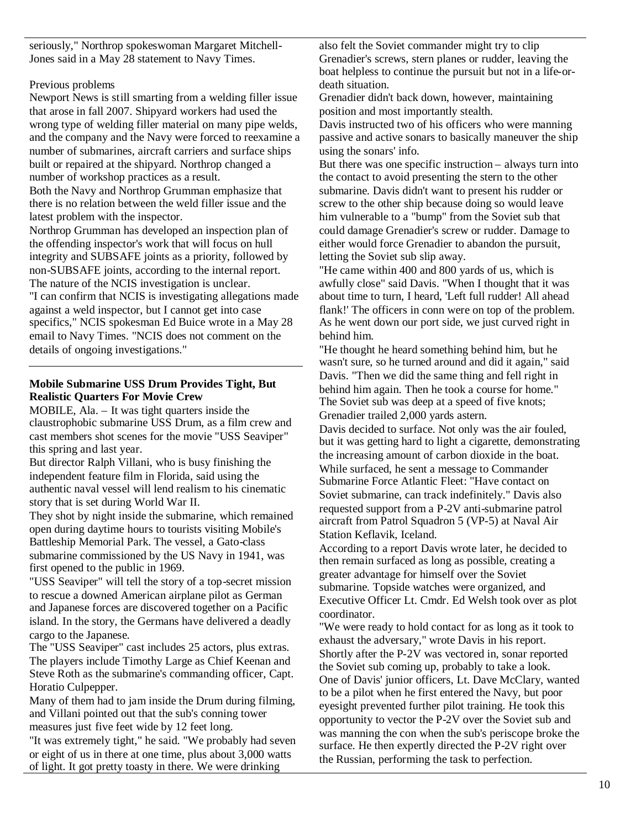seriously," Northrop spokeswoman Margaret Mitchell-Jones said in a May 28 statement to Navy Times.

# Previous problems

Newport News is still smarting from a welding filler issue that arose in fall 2007. Shipyard workers had used the wrong type of welding filler material on many pipe welds, and the company and the Navy were forced to reexamine a number of submarines, aircraft carriers and surface ships built or repaired at the shipyard. Northrop changed a number of workshop practices as a result. Both the Navy and Northrop Grumman emphasize that there is no relation between the weld filler issue and the latest problem with the inspector.

Northrop Grumman has developed an inspection plan of the offending inspector's work that will focus on hull integrity and SUBSAFE joints as a priority, followed by non-SUBSAFE joints, according to the internal report. The nature of the NCIS investigation is unclear. "I can confirm that NCIS is investigating allegations made against a weld inspector, but I cannot get into case specifics," NCIS spokesman Ed Buice wrote in a May 28 email to Navy Times. "NCIS does not comment on the details of ongoing investigations."

# **Mobile Submarine USS Drum Provides Tight, But Realistic Quarters For Movie Crew**

MOBILE, Ala. – It was tight quarters inside the claustrophobic submarine USS Drum, as a film crew and cast members shot scenes for the movie "USS Seaviper" this spring and last year.

But director Ralph Villani, who is busy finishing the independent feature film in Florida, said using the authentic naval vessel will lend realism to his cinematic story that is set during World War II.

They shot by night inside the submarine, which remained open during daytime hours to tourists visiting Mobile's Battleship Memorial Park. The vessel, a Gato-class submarine commissioned by the US Navy in 1941, was first opened to the public in 1969.

"USS Seaviper" will tell the story of a top-secret mission to rescue a downed American airplane pilot as German and Japanese forces are discovered together on a Pacific island. In the story, the Germans have delivered a deadly cargo to the Japanese.

The "USS Seaviper" cast includes 25 actors, plus extras. The players include Timothy Large as Chief Keenan and Steve Roth as the submarine's commanding officer, Capt. Horatio Culpepper.

Many of them had to jam inside the Drum during filming, and Villani pointed out that the sub's conning tower measures just five feet wide by 12 feet long.

"It was extremely tight," he said. "We probably had seven or eight of us in there at one time, plus about 3,000 watts of light. It got pretty toasty in there. We were drinking

also felt the Soviet commander might try to clip Grenadier's screws, stern planes or rudder, leaving the boat helpless to continue the pursuit but not in a life-ordeath situation.

Grenadier didn't back down, however, maintaining position and most importantly stealth.

Davis instructed two of his officers who were manning passive and active sonars to basically maneuver the ship using the sonars' info.

But there was one specific instruction – always turn into the contact to avoid presenting the stern to the other submarine. Davis didn't want to present his rudder or screw to the other ship because doing so would leave him vulnerable to a "bump" from the Soviet sub that could damage Grenadier's screw or rudder. Damage to either would force Grenadier to abandon the pursuit, letting the Soviet sub slip away.

"He came within 400 and 800 yards of us, which is awfully close" said Davis. "When I thought that it was about time to turn, I heard, 'Left full rudder! All ahead flank!' The officers in conn were on top of the problem. As he went down our port side, we just curved right in behind him.

"He thought he heard something behind him, but he wasn't sure, so he turned around and did it again," said Davis. "Then we did the same thing and fell right in behind him again. Then he took a course for home." The Soviet sub was deep at a speed of five knots; Grenadier trailed 2,000 yards astern.

Davis decided to surface. Not only was the air fouled, but it was getting hard to light a cigarette, demonstrating the increasing amount of carbon dioxide in the boat. While surfaced, he sent a message to Commander Submarine Force Atlantic Fleet: "Have contact on Soviet submarine, can track indefinitely." Davis also requested support from a P-2V anti-submarine patrol aircraft from Patrol Squadron 5 (VP-5) at Naval Air Station Keflavik, Iceland.

According to a report Davis wrote later, he decided to then remain surfaced as long as possible, creating a greater advantage for himself over the Soviet submarine. Topside watches were organized, and Executive Officer Lt. Cmdr. Ed Welsh took over as plot coordinator.

"We were ready to hold contact for as long as it took to exhaust the adversary," wrote Davis in his report. Shortly after the P-2V was vectored in, sonar reported the Soviet sub coming up, probably to take a look. One of Davis' junior officers, Lt. Dave McClary, wanted to be a pilot when he first entered the Navy, but poor eyesight prevented further pilot training. He took this opportunity to vector the P-2V over the Soviet sub and was manning the con when the sub's periscope broke the surface. He then expertly directed the P-2V right over the Russian, performing the task to perfection.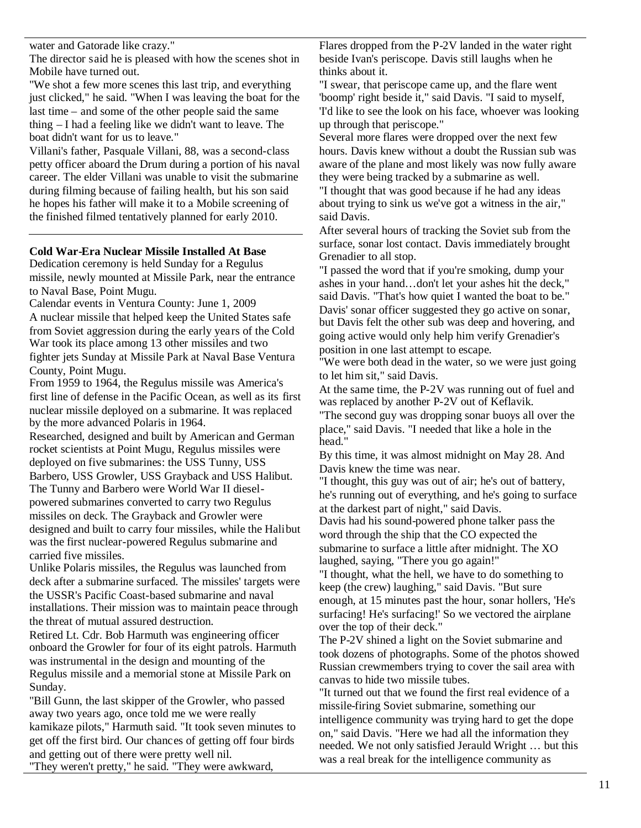water and Gatorade like crazy."

The director said he is pleased with how the scenes shot in Mobile have turned out.

"We shot a few more scenes this last trip, and everything just clicked," he said. "When I was leaving the boat for the last time – and some of the other people said the same thing – I had a feeling like we didn't want to leave. The boat didn't want for us to leave."

Villani's father, Pasquale Villani, 88, was a second-class petty officer aboard the Drum during a portion of his naval career. The elder Villani was unable to visit the submarine during filming because of failing health, but his son said he hopes his father will make it to a Mobile screening of the finished filmed tentatively planned for early 2010.

# **Cold War-Era Nuclear Missile Installed At Base**

Dedication ceremony is held Sunday for a Regulus missile, newly mounted at Missile Park, near the entrance to Naval Base, Point Mugu.

Calendar events in Ventura County: June 1, 2009 A nuclear missile that helped keep the United States safe from Soviet aggression during the early years of the Cold War took its place among 13 other missiles and two fighter jets Sunday at Missile Park at Naval Base Ventura County, Point Mugu.

From 1959 to 1964, the Regulus missile was America's first line of defense in the Pacific Ocean, as well as its first nuclear missile deployed on a submarine. It was replaced by the more advanced Polaris in 1964.

Researched, designed and built by American and German rocket scientists at Point Mugu, Regulus missiles were deployed on five submarines: the USS Tunny, USS Barbero, USS Growler, USS Grayback and USS Halibut. The Tunny and Barbero were World War II dieselpowered submarines converted to carry two Regulus missiles on deck. The Grayback and Growler were designed and built to carry four missiles, while the Halibut was the first nuclear-powered Regulus submarine and carried five missiles.

Unlike Polaris missiles, the Regulus was launched from deck after a submarine surfaced. The missiles' targets were the USSR's Pacific Coast-based submarine and naval installations. Their mission was to maintain peace through the threat of mutual assured destruction.

Retired Lt. Cdr. Bob Harmuth was engineering officer onboard the Growler for four of its eight patrols. Harmuth was instrumental in the design and mounting of the Regulus missile and a memorial stone at Missile Park on Sunday.

"Bill Gunn, the last skipper of the Growler, who passed away two years ago, once told me we were really kamikaze pilots," Harmuth said. "It took seven minutes to get off the first bird. Our chances of getting off four birds and getting out of there were pretty well nil. "They weren't pretty," he said. "They were awkward,

Flares dropped from the P-2V landed in the water right beside Ivan's periscope. Davis still laughs when he thinks about it.

"I swear, that periscope came up, and the flare went 'boomp' right beside it," said Davis. "I said to myself, 'I'd like to see the look on his face, whoever was looking up through that periscope."

Several more flares were dropped over the next few hours. Davis knew without a doubt the Russian sub was aware of the plane and most likely was now fully aware they were being tracked by a submarine as well.

"I thought that was good because if he had any ideas about trying to sink us we've got a witness in the air," said Davis.

After several hours of tracking the Soviet sub from the surface, sonar lost contact. Davis immediately brought Grenadier to all stop.

"I passed the word that if you're smoking, dump your ashes in your hand…don't let your ashes hit the deck," said Davis. "That's how quiet I wanted the boat to be." Davis' sonar officer suggested they go active on sonar, but Davis felt the other sub was deep and hovering, and going active would only help him verify Grenadier's position in one last attempt to escape.

"We were both dead in the water, so we were just going to let him sit," said Davis.

At the same time, the P-2V was running out of fuel and was replaced by another P-2V out of Keflavik.

"The second guy was dropping sonar buoys all over the place," said Davis. "I needed that like a hole in the head."

By this time, it was almost midnight on May 28. And Davis knew the time was near.

"I thought, this guy was out of air; he's out of battery, he's running out of everything, and he's going to surface at the darkest part of night," said Davis.

Davis had his sound-powered phone talker pass the word through the ship that the CO expected the submarine to surface a little after midnight. The XO laughed, saying, "There you go again!"

"I thought, what the hell, we have to do something to keep (the crew) laughing," said Davis. "But sure enough, at 15 minutes past the hour, sonar hollers, 'He's surfacing! He's surfacing!' So we vectored the airplane over the top of their deck."

The P-2V shined a light on the Soviet submarine and took dozens of photographs. Some of the photos showed Russian crewmembers trying to cover the sail area with canvas to hide two missile tubes.

"It turned out that we found the first real evidence of a missile-firing Soviet submarine, something our intelligence community was trying hard to get the dope on," said Davis. "Here we had all the information they needed. We not only satisfied Jerauld Wright … but this was a real break for the intelligence community as